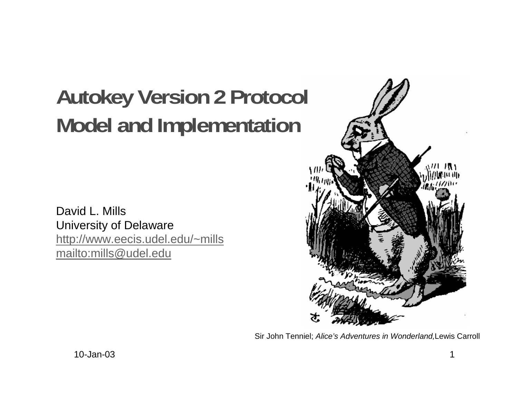# **Autokey Version 2 Protocol Model and Implementation**

David L. MillsUniversity of Delaware http://www.eecis.udel.edu/~mills mailto:mills@udel.edu



Sir John Tenniel; Alice's Adventures in Wonderland,Lewis Carroll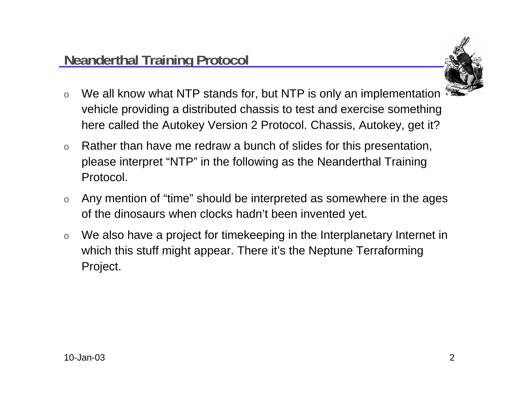

- o We all know what NTP stands for, but NTP is only an implementation vehicle providing a distributed chassis to test and exercise something here called the Autokey Version 2 Protocol. Chassis, Autokey, get it?
- o Rather than have me redraw a bunch of slides for this presentation, please interpret "NTP" in the following as the Neanderthal Training Protocol.
- o Any mention of "time" should be interpreted as somewhere in the ages of the dinosaurs when clocks hadn't been invented yet.
- o We also have a project for timekeeping in the Interplanetary Internet in which this stuff might appear. There it's the Neptune Terraforming Project.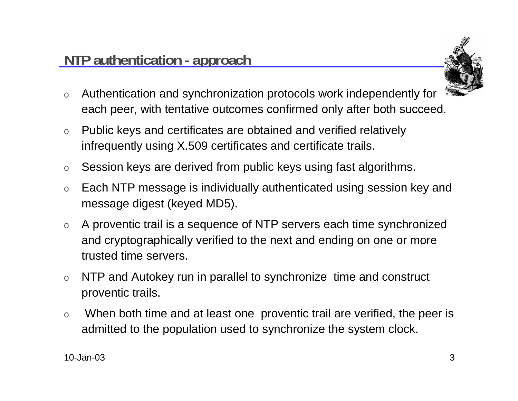

- o Authentication and synchronization protocols work independently for each peer, with tentative outcomes confirmed only after both succeed.
- o Public keys and certificates are obtained and verified relatively infrequently using X.509 certificates and certificate trails.
- oSession keys are derived from public keys using fast algorithms.
- o Each NTP message is individually authenticated using session key and message digest (keyed MD5).
- o A proventic trail is a sequence of NTP servers each time synchronized and cryptographically verified to the next and ending on one or more trusted time servers.
- o NTP and Autokey run in parallel to synchronize time and construct proventic trails.
- o When both time and at least one proventic trail are verified, the peer is admitted to the population used to synchronize the system clock.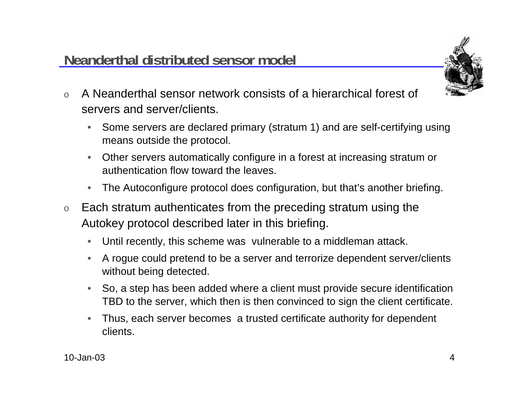

- o A Neanderthal sensor network consists of a hierarchical forest of servers and server/clients.
	- • Some servers are declared primary (stratum 1) and are self-certifying using means outside the protocol.
	- $\bullet$  Other servers automatically configure in a forest at increasing stratum or authentication flow toward the leaves.
	- $\bullet$ The Autoconfigure protocol does configuration, but that's another briefing.
- o Each stratum authenticates from the preceding stratum using the Autokey protocol described later in this briefing.
	- $\bullet$ Until recently, this scheme was vulnerable to a middleman attack.
	- • A rogue could pretend to be a server and terrorize dependent server/clients without being detected.
	- So, a step has been added where a client must provide secure identification TBD to the server, which then is then convinced to sign the client certificate.
	- • Thus, each server becomes a trusted certificate authority for dependent clients.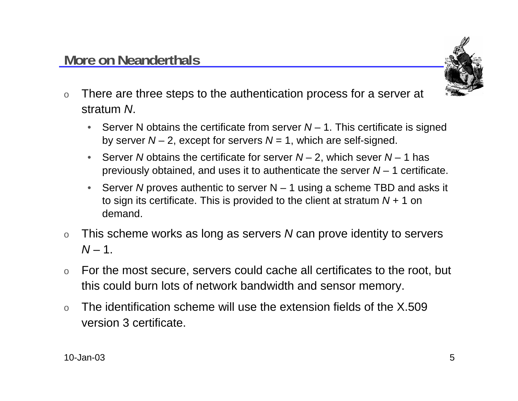

- o There are three steps to the authentication process for a server at stratum N.
	- •Server N obtains the certificate from server  $N-1$ . This certificate is signed by server  $N - 2$ , except for servers  $N = 1$ , which are self-signed.
	- •Server N obtains the certificate for server  $N-2$ , which sever  $N-1$  has previously obtained, and uses it to authenticate the server  $N-1$  certificate.
	- •Server N proves authentic to server  $N-1$  using a scheme TBD and asks it to sign its certificate. This is provided to the client at stratum  $N + 1$  on demand.
- o This scheme works as long as servers N can prove identity to servers N – 1.
- o For the most secure, servers could cache all certificates to the root, but this could burn lots of network bandwidth and sensor memory.
- o The identification scheme will use the extension fields of the X.509 version 3 certificate.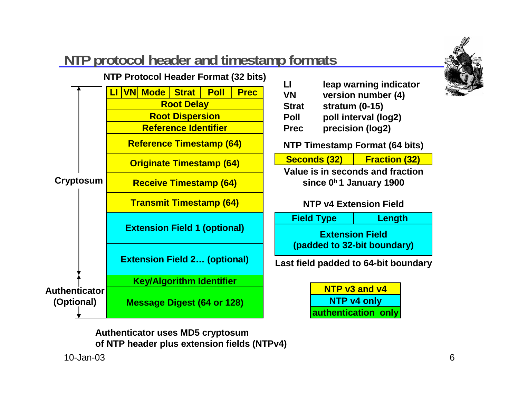

## **NTP protocol header and timestamp formats**



**VN version number (4) Strat stratum (0-15) Poll poll interval (log2) Prec precision (log2)**

**NTP Timestamp Format (64 bits)**

|--|

**Value is in seconds and fractionsince 0h 1 January 1900**

#### **NTP v4 Extension Field**

**Extension Field(padded to 32-bit boundary) Field Type Length**

**Last field padded to 64-bit boundary**

**NTP v3 and v4NTP v4 only authentication only**

**Authenticator uses MD5 cryptosum of NTP header plus extension fields (NTPv4)**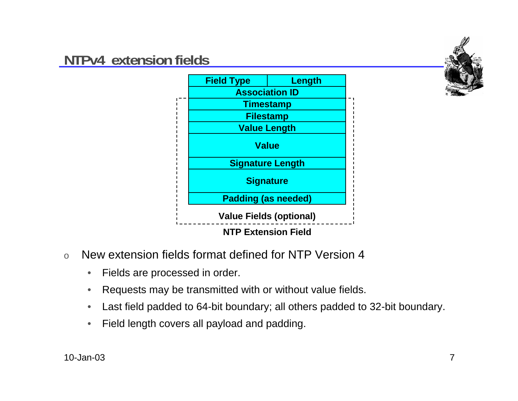#### **NTPv4 extension fields**





- o New extension fields format defined for NTP Version 4
	- $\bullet$ Fields are processed in order.
	- •Requests may be transmitted with or without value fields.
	- •Last field padded to 64-bit boundary; all others padded to 32-bit boundary.
	- •Field length covers all payload and padding.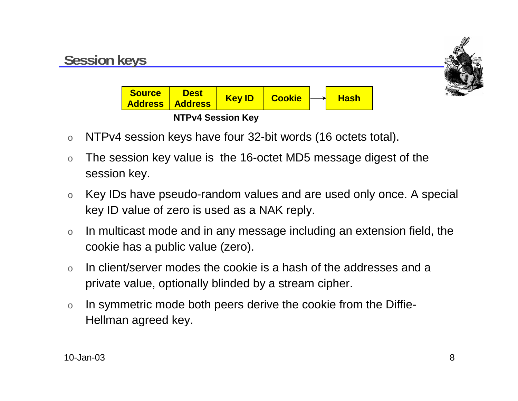

- oNTPv4 session keys have four 32-bit words (16 octets total).
- o The session key value is the 16-octet MD5 message digest of the session key.
- o Key IDs have pseudo-random values and are used only once. A special key ID value of zero is used as a NAK reply.
- o In multicast mode and in any message including an extension field, the cookie has a public value (zero).
- o In client/server modes the cookie is a hash of the addresses and a private value, optionally blinded by a stream cipher.
- o In symmetric mode both peers derive the cookie from the Diffie-Hellman agreed key.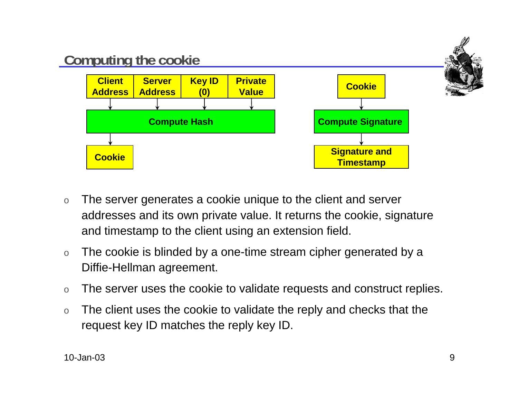

- o The server generates a cookie unique to the client and server addresses and its own private value. It returns the cookie, signature and timestamp to the client using an extension field.
- o The cookie is blinded by a one-time stream cipher generated by a Diffie-Hellman agreement.
- oThe server uses the cookie to validate requests and construct replies.
- o The client uses the cookie to validate the reply and checks that the request key ID matches the reply key ID.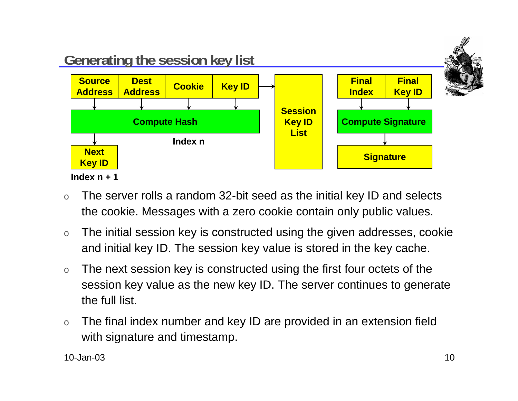

- o The server rolls a random 32-bit seed as the initial key ID and selects the cookie. Messages with a zero cookie contain only public values.
- o The initial session key is constructed using the given addresses, cookie and initial key ID. The session key value is stored in the key cache.
- o The next session key is constructed using the first four octets of the session key value as the new key ID. The server continues to generate the full list.
- o The final index number and key ID are provided in an extension field with signature and timestamp.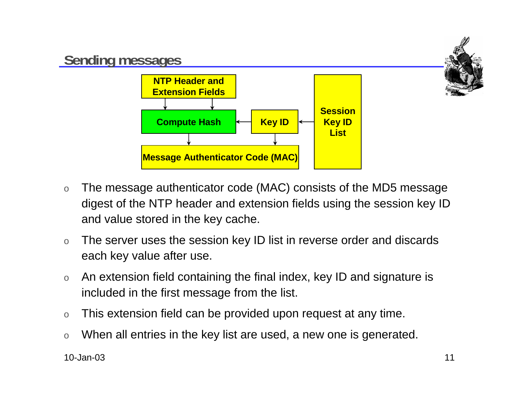

- o The message authenticator code (MAC) consists of the MD5 message digest of the NTP header and extension fields using the session key ID and value stored in the key cache.
- o The server uses the session key ID list in reverse order and discards each key value after use.
- o An extension field containing the final index, key ID and signature is included in the first message from the list.
- oThis extension field can be provided upon request at any time.
- oWhen all entries in the key list are used, a new one is generated.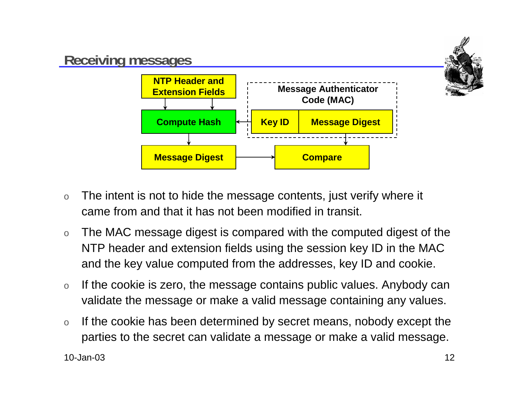

- o The intent is not to hide the message contents, just verify where it came from and that it has not been modified in transit.
- o The MAC message digest is compared with the computed digest of the NTP header and extension fields using the session key ID in the MAC and the key value computed from the addresses, key ID and cookie.
- o If the cookie is zero, the message contains public values. Anybody can validate the message or make a valid message containing any values.
- o If the cookie has been determined by secret means, nobody except the parties to the secret can validate a message or make a valid message.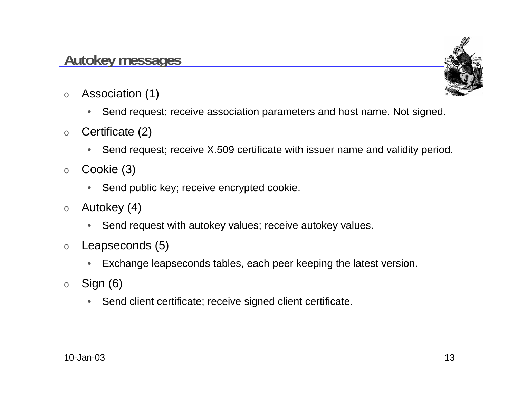#### **Autokey messages**



- o Association (1)
	- $\bullet$ Send request; receive association parameters and host name. Not signed.
- o Certificate (2)
	- •Send request; receive X.509 certificate with issuer name and validity period.
- o Cookie (3)
	- Send public key; receive encrypted cookie.
- o Autokey (4)
	- $\bullet$ Send request with autokey values; receive autokey values.
- o Leapseconds (5)
	- $\bullet$ Exchange leapseconds tables, each peer keeping the latest version.
- o Sign (6)
	- $\bullet$ Send client certificate; receive signed client certificate.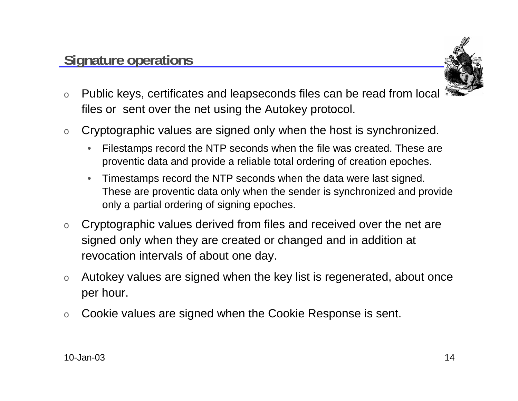

- o Public keys, certificates and leapseconds files can be read from local files or sent over the net using the Autokey protocol.
- o Cryptographic values are signed only when the host is synchronized.
	- $\bullet$  Filestamps record the NTP seconds when the file was created. These are proventic data and provide a reliable total ordering of creation epoches.
	- • Timestamps record the NTP seconds when the data were last signed. These are proventic data only when the sender is synchronized and provide only a partial ordering of signing epoches.
- o Cryptographic values derived from files and received over the net are signed only when they are created or changed and in addition at revocation intervals of about one day.
- o Autokey values are signed when the key list is regenerated, about once per hour.
- oCookie values are signed when the Cookie Response is sent.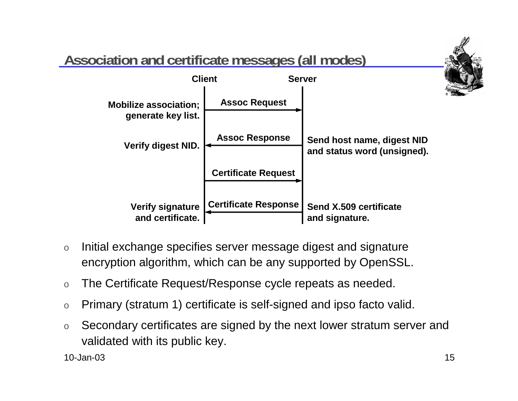

- o Initial exchange specifies server message digest and signature encryption algorithm, which can be any supported by OpenSSL.
- oThe Certificate Request/Response cycle repeats as needed.
- oPrimary (stratum 1) certificate is self-signed and ipso facto valid.
- o Secondary certificates are signed by the next lower stratum server and validated with its public key.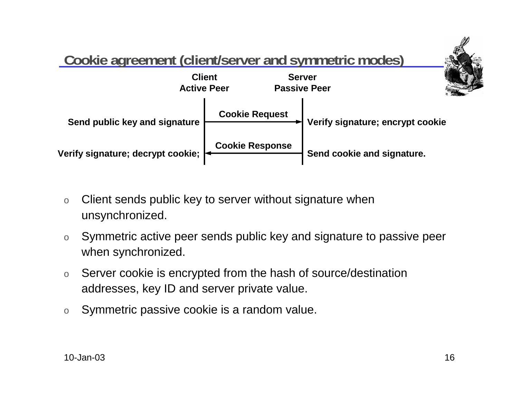

- o Client sends public key to server without signature when unsynchronized.
- o Symmetric active peer sends public key and signature to passive peer when synchronized.
- o Server cookie is encrypted from the hash of source/destination addresses, key ID and server private value.
- oSymmetric passive cookie is a random value.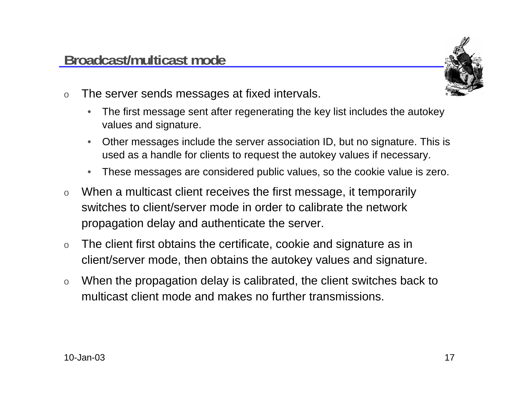

- o The server sends messages at fixed intervals.
	- $\bullet$  The first message sent after regenerating the key list includes the autokey values and signature.
	- • Other messages include the server association ID, but no signature. This is used as a handle for clients to request the autokey values if necessary.
	- •These messages are considered public values, so the cookie value is zero.
- o When a multicast client receives the first message, it temporarily switches to client/server mode in order to calibrate the networkpropagation delay and authenticate the server.
- o The client first obtains the certificate, cookie and signature as in client/server mode, then obtains the autokey values and signature.
- o When the propagation delay is calibrated, the client switches back to multicast client mode and makes no further transmissions.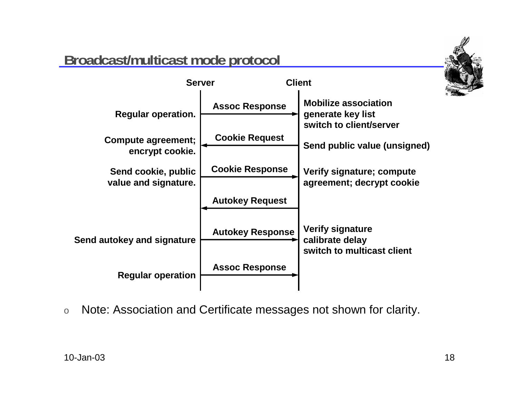## **Broadcast/multicast mode protocol**





oNote: Association and Certificate messages not shown for clarity.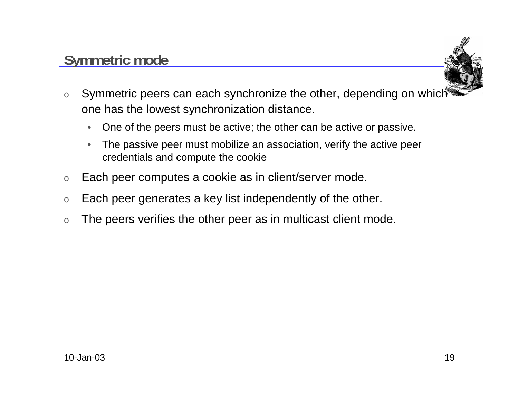#### **Symmetric mode**



- o Symmetric peers can each synchronize the other, depending on which one has the lowest synchronization distance.
	- $\bullet$ One of the peers must be active; the other can be active or passive.
	- $\bullet$  The passive peer must mobilize an association, verify the active peer credentials and compute the cookie
- oEach peer computes a cookie as in client/server mode.
- oEach peer generates a key list independently of the other.
- oThe peers verifies the other peer as in multicast client mode.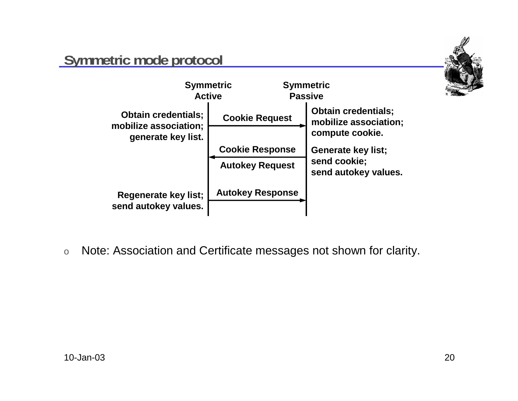

#### **Symmetric mode protocol**



oNote: Association and Certificate messages not shown for clarity.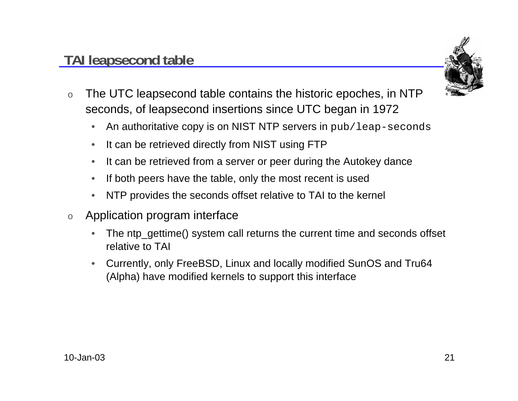## **TAI leapsecond table**



- o The UTC leapsecond table contains the historic epoches, in NTP seconds, of leapsecond insertions since UTC began in 1972
	- $\bullet$ An authoritative copy is on NIST NTP servers in pub/leap-seconds
	- $\bullet$ It can be retrieved directly from NIST using FTP
	- $\bullet$ It can be retrieved from a server or peer during the Autokey dance
	- •If both peers have the table, only the most recent is used
	- $\bullet$ NTP provides the seconds offset relative to TAI to the kernel
- o Application program interface
	- •The ntp\_gettime() system call returns the current time and seconds offset relative to TAI
	- Currently, only FreeBSD, Linux and locally modified SunOS and Tru64 (Alpha) have modified kernels to support this interface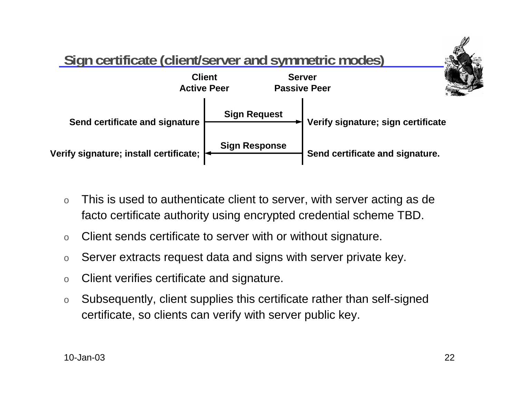

- o This is used to authenticate client to server, with server acting as de facto certificate authority using encrypted credential scheme TBD.
- $\Omega$ Client sends certificate to server with or without signature.
- oServer extracts request data and signs with server private key.
- oClient verifies certificate and signature.
- o Subsequently, client supplies this certificate rather than self-signed certificate, so clients can verify with server public key.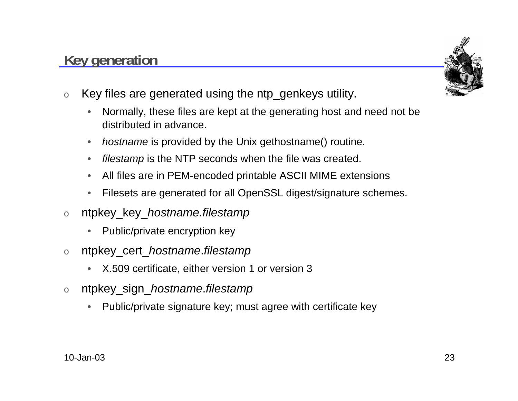#### oKey files are generated using the ntp\_genkeys utility.

**Key generation**

- • Normally, these files are kept at the generating host and need not be distributed in advance.
- •• *hostname* is provided by the Unix gethostname() routine.
- •filestamp is the NTP seconds when the file was created.
- •All files are in PEM-encoded printable ASCII MIME extensions
- $\bullet$ Filesets are generated for all OpenSSL digest/signature schemes.
- o ntpkey\_key\_hostname.filestamp
	- •Public/private encryption key
- o ntpkey\_cert\_hostname.filestamp
	- •X.509 certificate, either version 1 or version 3
- o ntpkey\_sign\_hostname.filestamp
	- •Public/private signature key; must agree with certificate key

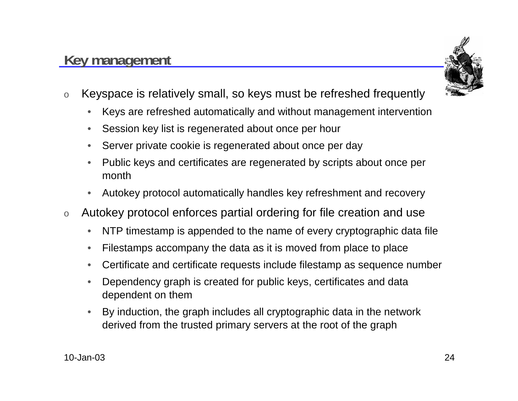#### **Key management**



- o Keyspace is relatively small, so keys must be refreshed frequently
	- $\bullet$ Keys are refreshed automatically and without management intervention
	- •Session key list is regenerated about once per hour
	- •Server private cookie is regenerated about once per day
	- • Public keys and certificates are regenerated by scripts about once per month
	- •Autokey protocol automatically handles key refreshment and recovery
- o Autokey protocol enforces partial ordering for file creation and use
	- •NTP timestamp is appended to the name of every cryptographic data file
	- •Filestamps accompany the data as it is moved from place to place
	- •Certificate and certificate requests include filestamp as sequence number
	- • Dependency graph is created for public keys, certificates and data dependent on them
	- • By induction, the graph includes all cryptographic data in the network derived from the trusted primary servers at the root of the graph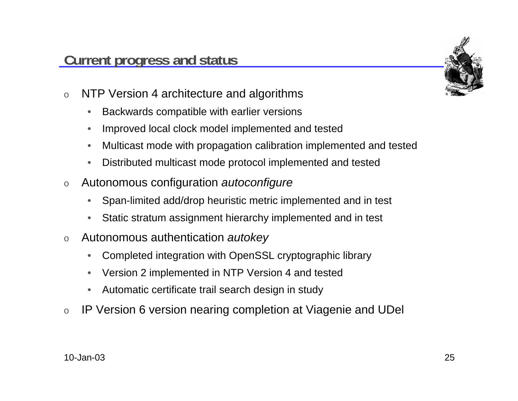

- o NTP Version 4 architecture and algorithms
	- $\bullet$ Backwards compatible with earlier versions
	- •Improved local clock model implemented and tested
	- •Multicast mode with propagation calibration implemented and tested
	- •Distributed multicast mode protocol implemented and tested
- o Autonomous configuration autoconfigure
	- •Span-limited add/drop heuristic metric implemented and in test
	- $\bullet$ Static stratum assignment hierarchy implemented and in test
- o Autonomous authentication autokey
	- $\bullet$ Completed integration with OpenSSL cryptographic library
	- $\bullet$ Version 2 implemented in NTP Version 4 and tested
	- •Automatic certificate trail search design in study
- oIP Version 6 version nearing completion at Viagenie and UDel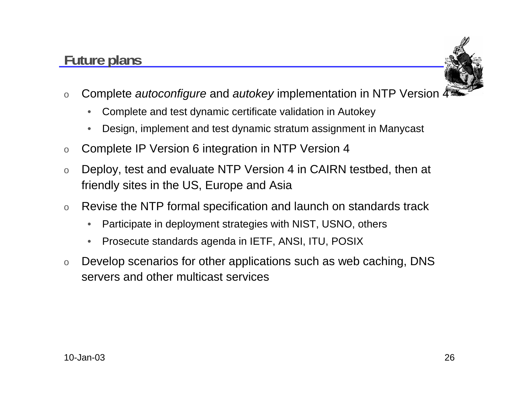### **Future plans**



- oComplete *autoconfigure* and *autokey* implementation in NTP Version  $\frac{1}{2}$ 
	- $\bullet$ Complete and test dynamic certificate validation in Autokey
	- •Design, implement and test dynamic stratum assignment in Manycast
- oComplete IP Version 6 integration in NTP Version 4
- o Deploy, test and evaluate NTP Version 4 in CAIRN testbed, then at friendly sites in the US, Europe and Asia
- o Revise the NTP formal specification and launch on standards track
	- •Participate in deployment strategies with NIST, USNO, others
	- $\bullet$ Prosecute standards agenda in IETF, ANSI, ITU, POSIX
- o Develop scenarios for other applications such as web caching, DNS servers and other multicast services